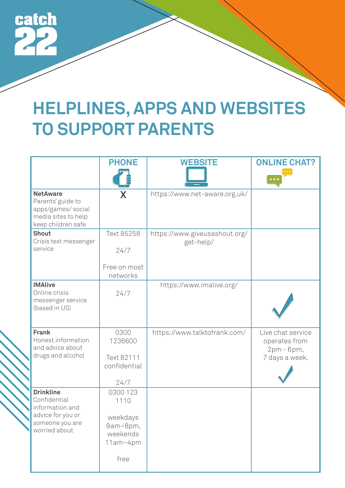

## **HELPLINES, APPS AND WEBSITES TO SUPPORT PARENTS**

|                                                                                                              | <b>PHONE</b>                                                             | <b>WEBSITE</b>                             | <b>ONLINE CHAT?</b><br>$\bullet\bullet\bullet$<br>$\bullet\bullet\bullet$ |
|--------------------------------------------------------------------------------------------------------------|--------------------------------------------------------------------------|--------------------------------------------|---------------------------------------------------------------------------|
| <b>NetAware</b><br>Parents' guide to<br>apps/games/social<br>media sites to help<br>keep children safe       | X                                                                        | https://www.net-aware.org.uk/              |                                                                           |
| <b>Shout</b><br>Crisis text messenger<br>service                                                             | Text 85258<br>24/7<br>Free on most<br>networks                           | https://www.giveusashout.org/<br>get-help/ |                                                                           |
| <b>IMAlive</b><br>Online crisis<br>messenger service<br>(based in US)                                        | 24/7                                                                     | https://www.imalive.org/                   |                                                                           |
| <b>Frank</b><br>Honest information<br>and advice about<br>drugs and alcohol                                  | 0300<br>1236600<br>Text 82111<br>confidential<br>24/7                    | https://www.talktofrank.com/               | Live chat service<br>operates from<br>2pm - 6pm,<br>7 days a week.        |
| <b>Drinkline</b><br>Confidential<br>information and<br>advice for you or<br>someone you are<br>worried about | 0300 123<br>1110<br>weekdays<br>9am-8pm,<br>weekends<br>11am-4pm<br>free |                                            |                                                                           |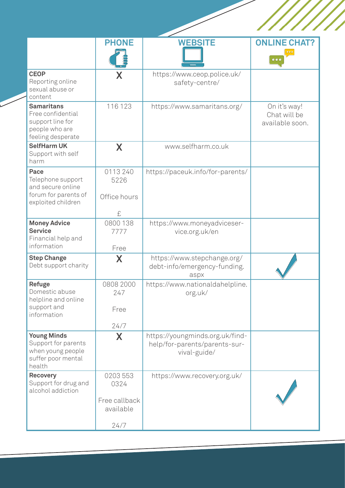|                                                                                                   | <b>PHONE</b>               | <b>WEBSITE</b>                                                      | <b>ONLINE CHAT?</b><br>$\bullet\bullet\bullet$  |
|---------------------------------------------------------------------------------------------------|----------------------------|---------------------------------------------------------------------|-------------------------------------------------|
| <b>CEOP</b><br>Reporting online<br>sexual abuse or<br>content                                     | X                          | https://www.ceop.police.uk/<br>safety-centre/                       |                                                 |
| <b>Samaritans</b><br>Free confidential<br>support line for<br>people who are<br>feeling desperate | 116 123                    | https://www.samaritans.org/                                         | On it's way!<br>Chat will be<br>available soon. |
| <b>SelfHarm UK</b><br>Support with self<br>harm                                                   | X                          | www.selfharm.co.uk                                                  |                                                 |
| Pace<br>Telephone support<br>and secure online                                                    | 0113 240<br>5226           | https://paceuk.info/for-parents/                                    |                                                 |
| forum for parents of<br>exploited children                                                        | Office hours<br>£          |                                                                     |                                                 |
| <b>Money Advice</b><br><b>Service</b><br>Financial help and                                       | 0800 138<br>7777           | https://www.moneyadviceser-<br>vice.org.uk/en                       |                                                 |
| information                                                                                       | Free                       |                                                                     |                                                 |
| <b>Step Change</b><br>Debt support charity                                                        | X                          | https://www.stepchange.org/<br>debt-info/emergency-funding.<br>aspx |                                                 |
| <b>Refuge</b><br>Domestic abuse<br>helpline and online                                            | 0808 2000<br>247           | https://www.nationaldahelpline.<br>org.uk/                          |                                                 |
| support and<br>information                                                                        | Free                       |                                                                     |                                                 |
| <b>Young Minds</b>                                                                                | 24/7                       | https://youngminds.org.uk/find-                                     |                                                 |
| Support for parents<br>when young people<br>suffer poor mental<br>health                          | X                          | help/for-parents/parents-sur-<br>vival-guide/                       |                                                 |
| <b>Recovery</b><br>Support for drug and<br>alcohol addiction                                      | 0203 553<br>0324           | https://www.recovery.org.uk/                                        |                                                 |
|                                                                                                   | Free callback<br>available |                                                                     |                                                 |
|                                                                                                   | 24/7                       |                                                                     |                                                 |